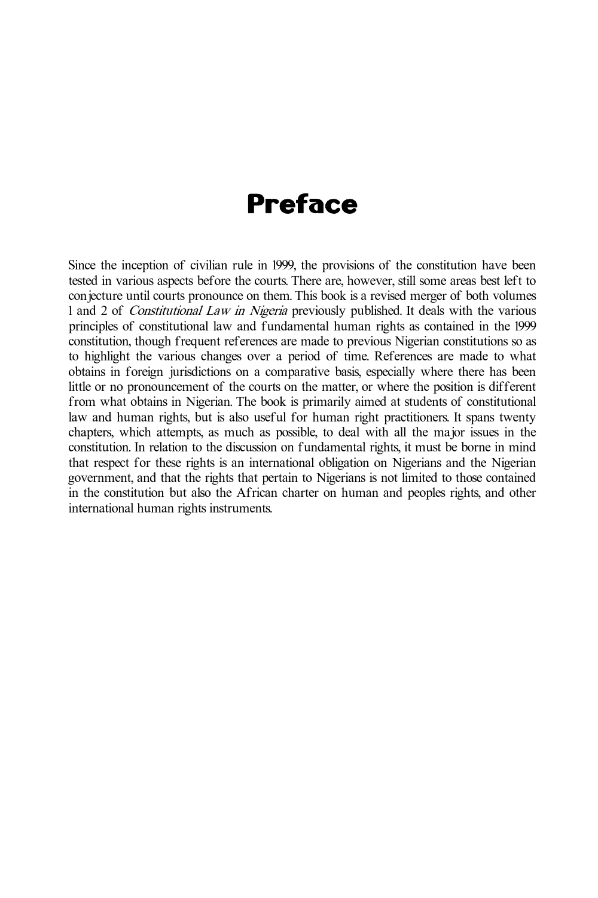## Preface

Since the inception of civilian rule in 1999, the provisions of the constitution have been tested in various aspects before the courts. There are, however, still some areas best left to conjecture until courts pronounce on them. This book is a revised merger of both volumes 1 and 2 of *Constitutional Law in Nigeria* previously published. It deals with the various principles of constitutional law and fundamental human rights as contained in the 1999 constitution, though frequent references are made to previous Nigerian constitutions so as to highlight the various changes over a period of time. References are made to what obtains in foreign jurisdictions on a comparative basis, especially where there has been little or no pronouncement of the courts on the matter, or where the position is different from what obtains in Nigerian. The book is primarily aimed at students of constitutional law and human rights, but is also useful for human right practitioners. It spans twenty chapters, which attempts, as much as possible, to deal with all the major issues in the constitution. In relation to the discussion on fundamental rights, it must be borne in mind that respect for these rights is an international obligation on Nigerians and the Nigerian government, and that the rights that pertain to Nigerians is not limited to those contained in the constitution but also the African charter on human and peoples rights, and other international human rights instruments.